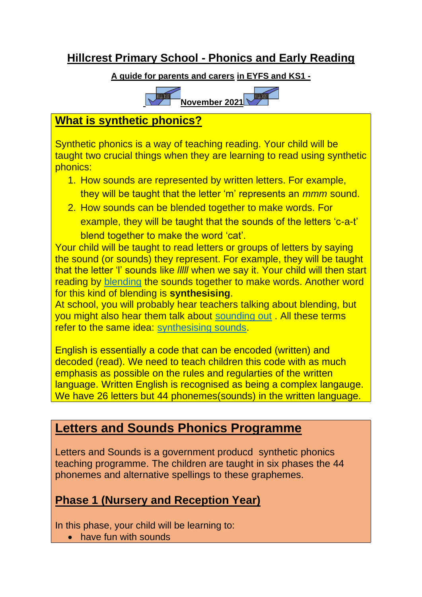## **Hillcrest Primary School - Phonics and Early Reading**

#### **A guide for parents and carers in EYFS and KS1 -**



### **What is synthetic phonics?**

Synthetic phonics is a way of teaching reading. Your child will be taught two crucial things when they are learning to read using synthetic phonics:

- 1. How sounds are represented by written letters. For example, they will be taught that the letter 'm' represents an *mmm* sound.
- 2. How sounds can be blended together to make words. For example, they will be taught that the sounds of the letters 'c-a-t' blend together to make the word 'cat'.

Your child will be taught to read letters or groups of letters by saying the sound (or sounds) they represent. For example, they will be taught that the letter 'l' sounds like *lllll* when we say it. Your child will then start reading by [blending](https://home.oxfordowl.co.uk/at-school/education-glossary/grammar-literacy-glossary-a-c/#blending) the sounds together to make words. Another word for this kind of blending is **synthesising**.

At school, you will probably hear teachers talking about blending, but you might also hear them talk about [sounding out](https://home.oxfordowl.co.uk/at-school/education-glossary/grammar-literacy-glossary-r-s/#soundingout) . All these terms refer to the same idea: [synthesising sounds.](https://home.oxfordowl.co.uk/at-school/education-glossary/grammar-literacy-glossary-r-s/#syntheticphonics)

English is essentially a code that can be encoded (written) and decoded (read). We need to teach children this code with as much emphasis as possible on the rules and regularties of the written language. Written English is recognised as being a complex langauge. We have 26 letters but 44 phonemes(sounds) in the written language.

# **Letters and Sounds Phonics Programme**

Letters and Sounds is a government producd synthetic phonics teaching programme. The children are taught in six phases the 44 phonemes and alternative spellings to these graphemes.

# **Phase 1 (Nursery and Reception Year)**

In this phase, your child will be learning to:

• have fun with sounds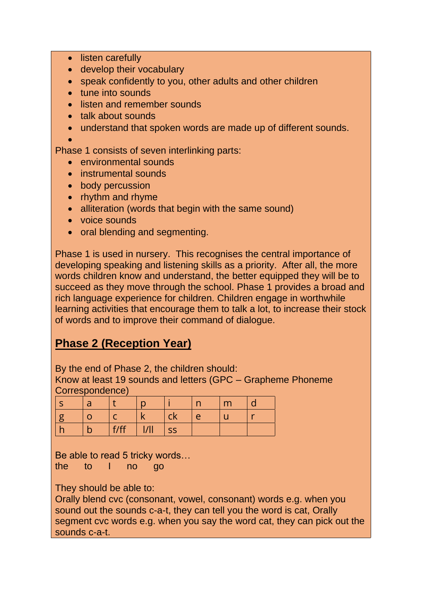- listen carefully
- develop their vocabulary
- speak confidently to you, other adults and other children
- tune into sounds
- listen and remember sounds
- talk about sounds
- understand that spoken words are made up of different sounds.

•

Phase 1 consists of seven interlinking parts:

- environmental sounds
- instrumental sounds
- body percussion
- rhythm and rhyme
- alliteration (words that begin with the same sound)
- voice sounds
- oral blending and segmenting.

Phase 1 is used in nursery. This recognises the central importance of developing speaking and listening skills as a priority. After all, the more words children know and understand, the better equipped they will be to succeed as they move through the school. Phase 1 provides a broad and rich language experience for children. Children engage in worthwhile learning activities that encourage them to talk a lot, to increase their stock of words and to improve their command of dialogue.

## **Phase 2 (Reception Year)**

By the end of Phase 2, the children should:

Know at least 19 sounds and letters (GPC – Grapheme Phoneme Correspondence)

|     |             |       |           | $\sim$   | m |       |
|-----|-------------|-------|-----------|----------|---|-------|
|     |             |       | <b>CK</b> | $\Gamma$ |   | 14.40 |
| . . | f/ff<br>. . | 川<br> | <b>SS</b> |          |   |       |

Be able to read 5 tricky words…

the to I no go

They should be able to:

Orally blend cvc (consonant, vowel, consonant) words e.g. when you sound out the sounds c-a-t, they can tell you the word is cat, Orally segment cvc words e.g. when you say the word cat, they can pick out the sounds c-a-t.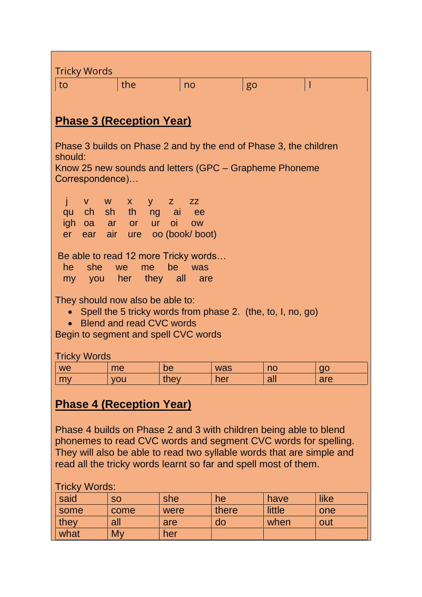| <b>Tricky Words</b>                                                                                                                                                                                                                                                                                                                        |                                                                                                       |      |       |        |      |  |
|--------------------------------------------------------------------------------------------------------------------------------------------------------------------------------------------------------------------------------------------------------------------------------------------------------------------------------------------|-------------------------------------------------------------------------------------------------------|------|-------|--------|------|--|
| the<br>to                                                                                                                                                                                                                                                                                                                                  |                                                                                                       | no   | go    | T      |      |  |
| <b>Phase 3 (Reception Year)</b>                                                                                                                                                                                                                                                                                                            |                                                                                                       |      |       |        |      |  |
| Phase 3 builds on Phase 2 and by the end of Phase 3, the children<br>should:<br>Know 25 new sounds and letters (GPC – Grapheme Phoneme<br>Correspondence)                                                                                                                                                                                  |                                                                                                       |      |       |        |      |  |
| j<br>qu<br>er                                                                                                                                                                                                                                                                                                                              | v w x y<br>Z<br><b>ZZ</b><br>ch sh th ng ai ee<br>igh oa ar or ur oi ow<br>ear air ure oo (book/boot) |      |       |        |      |  |
| Be able to read 12 more Tricky words<br>he she we me<br>be<br>was<br>my you her they all<br>are                                                                                                                                                                                                                                            |                                                                                                       |      |       |        |      |  |
| They should now also be able to:<br>• Spell the 5 tricky words from phase 2. (the, to, I, no, go)<br>• Blend and read CVC words<br>Begin to segment and spell CVC words                                                                                                                                                                    |                                                                                                       |      |       |        |      |  |
| <b>Tricky Words</b>                                                                                                                                                                                                                                                                                                                        |                                                                                                       |      |       |        |      |  |
| we                                                                                                                                                                                                                                                                                                                                         | me                                                                                                    | be   | was   | no     | go   |  |
| my                                                                                                                                                                                                                                                                                                                                         | you                                                                                                   | they | her   | all    | are  |  |
| <b>Phase 4 (Reception Year)</b><br>Phase 4 builds on Phase 2 and 3 with children being able to blend<br>phonemes to read CVC words and segment CVC words for spelling.<br>They will also be able to read two syllable words that are simple and<br>read all the tricky words learnt so far and spell most of them.<br><b>Tricky Words:</b> |                                                                                                       |      |       |        |      |  |
| said                                                                                                                                                                                                                                                                                                                                       | <b>SO</b>                                                                                             | she  | he    | have   | like |  |
| some                                                                                                                                                                                                                                                                                                                                       | come                                                                                                  | were | there | little | one  |  |
| they                                                                                                                                                                                                                                                                                                                                       | all                                                                                                   | are  | do    | when   | out  |  |
| what                                                                                                                                                                                                                                                                                                                                       | My                                                                                                    | her  |       |        |      |  |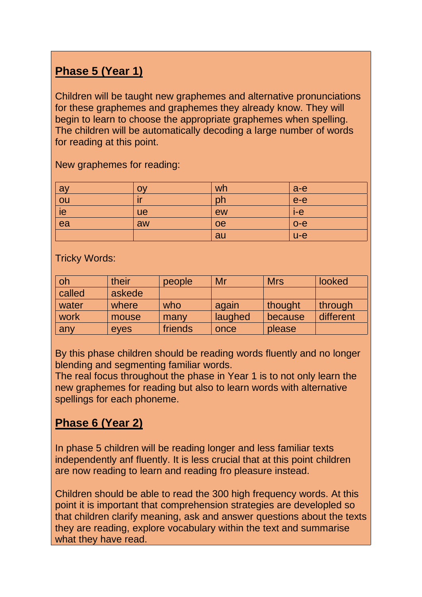# **Phase 5 (Year 1)**

Children will be taught new graphemes and alternative pronunciations for these graphemes and graphemes they already know. They will begin to learn to choose the appropriate graphemes when spelling. The children will be automatically decoding a large number of words for reading at this point.

| ay              | <b>OV</b> | wh | $a-e$ |
|-----------------|-----------|----|-------|
|                 |           | ph | $e-e$ |
| $\frac{ou}{ie}$ | ue        | ew | $i-e$ |
| $\overline{ea}$ | aw        | oe | $o-e$ |
|                 |           | au | $u-e$ |

New graphemes for reading:

Tricky Words:

| oh     | their  | people  | Mr      | <b>Mrs</b> | looked    |
|--------|--------|---------|---------|------------|-----------|
| called | askede |         |         |            |           |
| water  | where  | who     | again   | thought    | through   |
| work   | mouse  | many    | laughed | because    | different |
| any    | eyes   | friends | once    | please     |           |

By this phase children should be reading words fluently and no longer blending and segmenting familiar words.

The real focus throughout the phase in Year 1 is to not only learn the new graphemes for reading but also to learn words with alternative spellings for each phoneme.

### **Phase 6 (Year 2)**

In phase 5 children will be reading longer and less familiar texts independently anf fluently. It is less crucial that at this point children are now reading to learn and reading fro pleasure instead.

Children should be able to read the 300 high frequency words. At this point it is important that comprehension strategies are developled so that children clarify meaning, ask and answer questions about the texts they are reading, explore vocabulary within the text and summarise what they have read.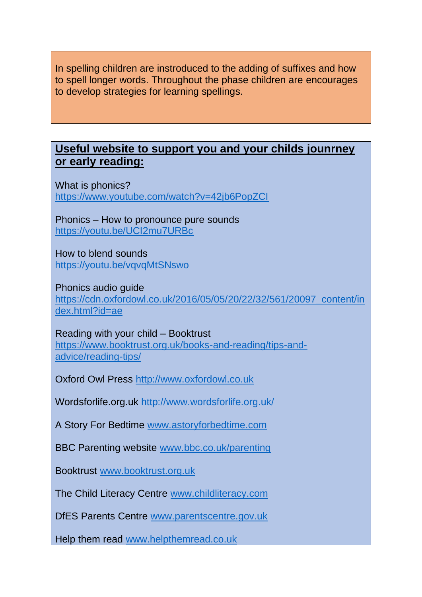In spelling children are instroduced to the adding of suffixes and how to spell longer words. Throughout the phase children are encourages to develop strategies for learning spellings.

#### **Useful website to support you and your childs jounrney or early reading:**

What is phonics? <https://www.youtube.com/watch?v=42jb6PopZCI>

Phonics – How to pronounce pure sounds <https://youtu.be/UCI2mu7URBc>

How to blend sounds <https://youtu.be/vqvqMtSNswo>

Phonics audio guide [https://cdn.oxfordowl.co.uk/2016/05/05/20/22/32/561/20097\\_content/in](https://cdn.oxfordowl.co.uk/2016/05/05/20/22/32/561/20097_content/index.html?id=ae) [dex.html?id=ae](https://cdn.oxfordowl.co.uk/2016/05/05/20/22/32/561/20097_content/index.html?id=ae)

Reading with your child – Booktrust [https://www.booktrust.org.uk/books-and-reading/tips-and](https://www.booktrust.org.uk/books-and-reading/tips-and-advice/reading-tips/)[advice/reading-tips/](https://www.booktrust.org.uk/books-and-reading/tips-and-advice/reading-tips/)

Oxford Owl Press [http://www.oxfordowl.co.uk](http://www.oxfordowl.co.uk/)

Wordsforlife.org.uk<http://www.wordsforlife.org.uk/>

A Story For Bedtime [www.astoryforbedtime.com](http://www.astoryforbedtime.com/)

BBC Parenting website [www.bbc.co.uk/parenting](http://www.bbc.co.uk/parenting)

Booktrust [www.booktrust.org.uk](http://www.booktrust.org.uk/)

The Child Literacy Centre [www.childliteracy.com](http://www.childliteracy.com/)

DfES Parents Centre [www.parentscentre.gov.uk](http://www.parentscentre.gov.uk/)

Help them read [www.helpthemread.co.uk](http://www.helpthemread.co.uk/)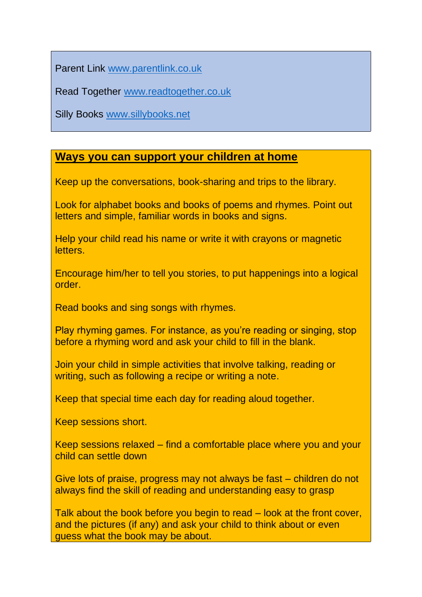Parent Link [www.parentlink.co.uk](http://www.parentlink.co.uk/)

Read Together [www.readtogether.co.uk](http://www.readtogether.co.uk/)

Silly Books [www.sillybooks.net](http://www.sillybooks.net/)

#### **Ways you can support your children at home**

Keep up the conversations, book-sharing and trips to the library.

Look for alphabet books and books of poems and rhymes. Point out letters and simple, familiar words in books and signs.

Help your child read his name or write it with crayons or magnetic letters.

Encourage him/her to tell you stories, to put happenings into a logical order.

Read books and sing songs with rhymes.

Play rhyming games. For instance, as you're reading or singing, stop before a rhyming word and ask your child to fill in the blank.

Join your child in simple activities that involve talking, reading or writing, such as following a recipe or writing a note.

Keep that special time each day for reading aloud together.

Keep sessions short.

Keep sessions relaxed – find a comfortable place where you and your child can settle down

Give lots of praise, progress may not always be fast – children do not always find the skill of reading and understanding easy to grasp

Talk about the book before you begin to read – look at the front cover, and the pictures (if any) and ask your child to think about or even guess what the book may be about.